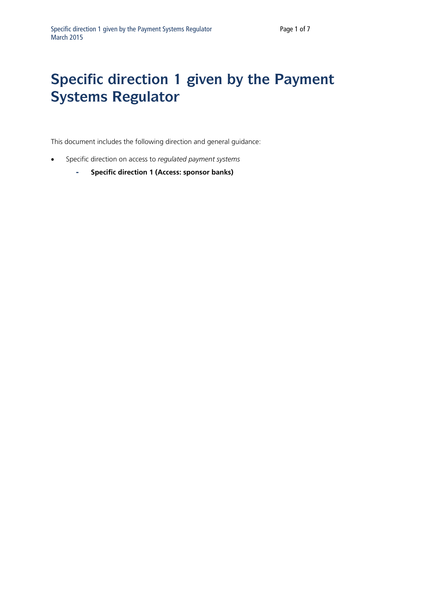## **Specific direction 1 given by the Payment Systems Regulator**

This document includes the following direction and general guidance:

- Specific direction on access to *regulated payment systems*
	- **- Specific direction 1 (Access: sponsor banks)**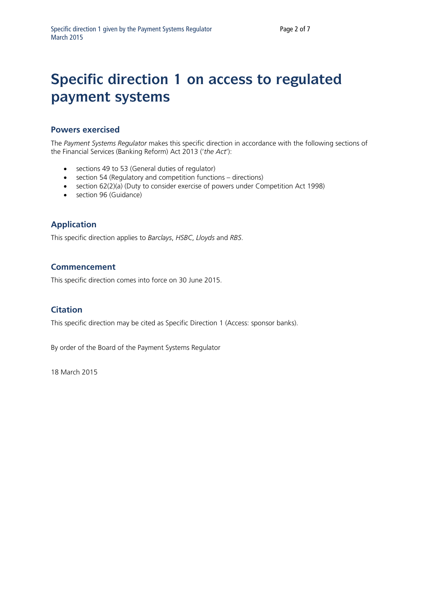## **Specific direction 1 on access to regulated payment systems**

## **Powers exercised**

The *Payment Systems Regulator* makes this specific direction in accordance with the following sections of the Financial Services (Banking Reform) Act 2013 ('*the Act*'):

- sections 49 to 53 (General duties of regulator)
- section 54 (Regulatory and competition functions directions)
- section 62(2)(a) (Duty to consider exercise of powers under Competition Act 1998)
- section 96 (Guidance)

## **Application**

This specific direction applies to *Barclays*, *HSBC*, *Lloyds* and *RBS*.

#### **Commencement**

This specific direction comes into force on 30 June 2015.

### **Citation**

This specific direction may be cited as Specific Direction 1 (Access: sponsor banks).

By order of the Board of the Payment Systems Regulator

18 March 2015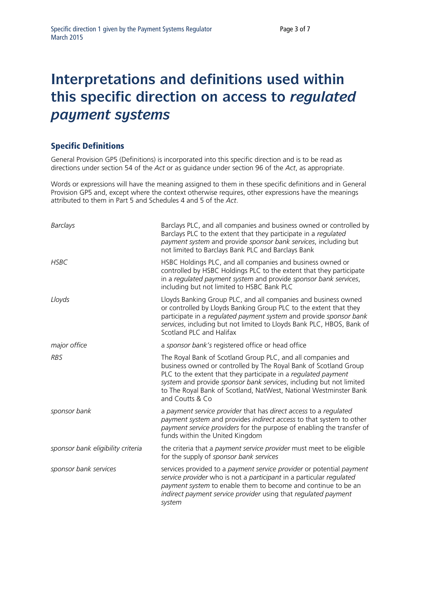## **Interpretations and definitions used within this specific direction on access to** *regulated payment systems*

## Specific Definitions

General Provision GP5 (Definitions) is incorporated into this specific direction and is to be read as directions under section 54 of the *Act* or as guidance under section 96 of the *Act*, as appropriate.

Words or expressions will have the meaning assigned to them in these specific definitions and in General Provision GP5 and, except where the context otherwise requires, other expressions have the meanings attributed to them in Part 5 and Schedules 4 and 5 of the *Act*.

| Barclays                          | Barclays PLC, and all companies and business owned or controlled by<br>Barclays PLC to the extent that they participate in a regulated<br>payment system and provide sponsor bank services, including but<br>not limited to Barclays Bank PLC and Barclays Bank                                                                                                  |
|-----------------------------------|------------------------------------------------------------------------------------------------------------------------------------------------------------------------------------------------------------------------------------------------------------------------------------------------------------------------------------------------------------------|
| <b>HSBC</b>                       | HSBC Holdings PLC, and all companies and business owned or<br>controlled by HSBC Holdings PLC to the extent that they participate<br>in a regulated payment system and provide sponsor bank services,<br>including but not limited to HSBC Bank PLC                                                                                                              |
| Lloyds                            | Lloyds Banking Group PLC, and all companies and business owned<br>or controlled by Lloyds Banking Group PLC to the extent that they<br>participate in a regulated payment system and provide sponsor bank<br>services, including but not limited to Lloyds Bank PLC, HBOS, Bank of<br>Scotland PLC and Halifax                                                   |
| major office                      | a sponsor bank's registered office or head office                                                                                                                                                                                                                                                                                                                |
| <b>RBS</b>                        | The Royal Bank of Scotland Group PLC, and all companies and<br>business owned or controlled by The Royal Bank of Scotland Group<br>PLC to the extent that they participate in a regulated payment<br>system and provide sponsor bank services, including but not limited<br>to The Royal Bank of Scotland, NatWest, National Westminster Bank<br>and Coutts & Co |
| sponsor bank                      | a payment service provider that has direct access to a regulated<br>payment system and provides indirect access to that system to other<br>payment service providers for the purpose of enabling the transfer of<br>funds within the United Kingdom                                                                                                              |
| sponsor bank eligibility criteria | the criteria that a payment service provider must meet to be eligible<br>for the supply of sponsor bank services                                                                                                                                                                                                                                                 |
| sponsor bank services             | services provided to a payment service provider or potential payment<br>service provider who is not a participant in a particular regulated<br>payment system to enable them to become and continue to be an<br>indirect payment service provider using that regulated payment<br>system                                                                         |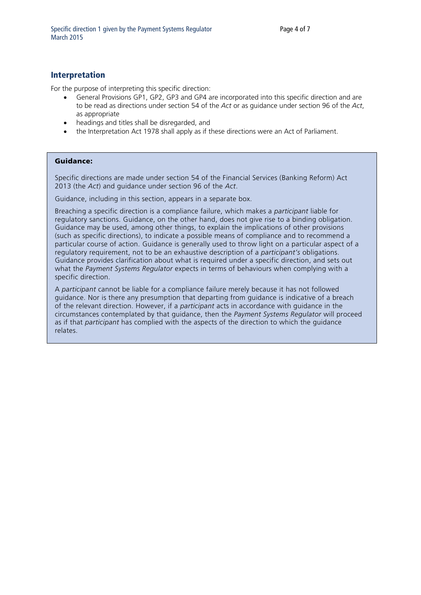### **Interpretation**

For the purpose of interpreting this specific direction:

- General Provisions GP1, GP2, GP3 and GP4 are incorporated into this specific direction and are to be read as directions under section 54 of the *Act* or as guidance under section 96 of the *Act*, as appropriate
- headings and titles shall be disregarded, and
- the Interpretation Act 1978 shall apply as if these directions were an Act of Parliament.

#### Guidance:

Specific directions are made under section 54 of the Financial Services (Banking Reform) Act 2013 (the *Act*) and guidance under section 96 of the *Act*.

Guidance, including in this section, appears in a separate box.

Breaching a specific direction is a compliance failure, which makes a *participant* liable for regulatory sanctions. Guidance, on the other hand, does not give rise to a binding obligation. Guidance may be used, among other things, to explain the implications of other provisions (such as specific directions), to indicate a possible means of compliance and to recommend a particular course of action. Guidance is generally used to throw light on a particular aspect of a regulatory requirement, not to be an exhaustive description of a *participant's* obligations. Guidance provides clarification about what is required under a specific direction, and sets out what the *Payment Systems Regulator* expects in terms of behaviours when complying with a specific direction.

A *participant* cannot be liable for a compliance failure merely because it has not followed guidance. Nor is there any presumption that departing from guidance is indicative of a breach of the relevant direction. However, if a *participant* acts in accordance with guidance in the circumstances contemplated by that guidance, then the *Payment Systems Regulator* will proceed as if that *participant* has complied with the aspects of the direction to which the guidance relates.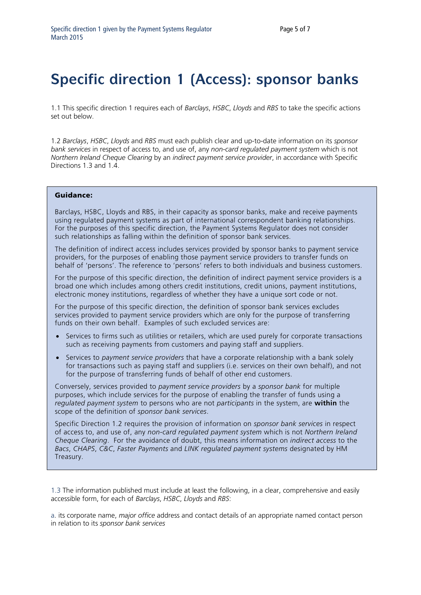# **Specific direction 1 (Access): sponsor banks**

1.1 This specific direction 1 requires each of *Barclays*, *HSBC*, *Lloyds* and *RBS* to take the specific actions set out below.

1.2 *Barclays*, *HSBC*, *Lloyds* and *RBS* must each publish clear and up-to-date information on its *sponsor bank services* in respect of access to, and use of, any *non-card regulated payment system* which is not *Northern Ireland Cheque Clearing* by an *indirect payment service provider*, in accordance with Specific Directions 1.3 and 1.4.

#### Guidance:

Barclays, HSBC, Lloyds and RBS, in their capacity as sponsor banks, make and receive payments using regulated payment systems as part of international correspondent banking relationships. For the purposes of this specific direction, the Payment Systems Regulator does not consider such relationships as falling within the definition of sponsor bank services.

The definition of indirect access includes services provided by sponsor banks to payment service providers, for the purposes of enabling those payment service providers to transfer funds on behalf of 'persons'. The reference to 'persons' refers to both individuals and business customers.

For the purpose of this specific direction, the definition of indirect payment service providers is a broad one which includes among others credit institutions, credit unions, payment institutions, electronic money institutions, regardless of whether they have a unique sort code or not.

For the purpose of this specific direction, the definition of sponsor bank services excludes services provided to payment service providers which are only for the purpose of transferring funds on their own behalf. Examples of such excluded services are:

- Services to firms such as utilities or retailers, which are used purely for corporate transactions such as receiving payments from customers and paying staff and suppliers.
- Services to *payment service providers* that have a corporate relationship with a bank solely for transactions such as paying staff and suppliers (i.e. services on their own behalf), and not for the purpose of transferring funds of behalf of other end customers.

Conversely, services provided to *payment service providers* by a *sponsor bank* for multiple purposes, which include services for the purpose of enabling the transfer of funds using a *regulated payment system* to persons who are not *participants* in the system, are **within** the scope of the definition of *sponsor bank services*.

Specific Direction 1.2 requires the provision of information on *sponsor bank services* in respect of access to, and use of, any *non-card regulated payment system* which is not *Northern Ireland Cheque Clearing*. For the avoidance of doubt, this means information on *indirect access* to the *Bacs*, *CHAPS*, *C&C*, *Faster Payments* and *LINK regulated payment systems* designated by HM Treasury.

1.3 The information published must include at least the following, in a clear, comprehensive and easily accessible form, for each of *Barclays*, *HSBC*, *Lloyds* and *RBS*:

a. its corporate name, *major office* address and contact details of an appropriate named contact person in relation to its *sponsor bank services*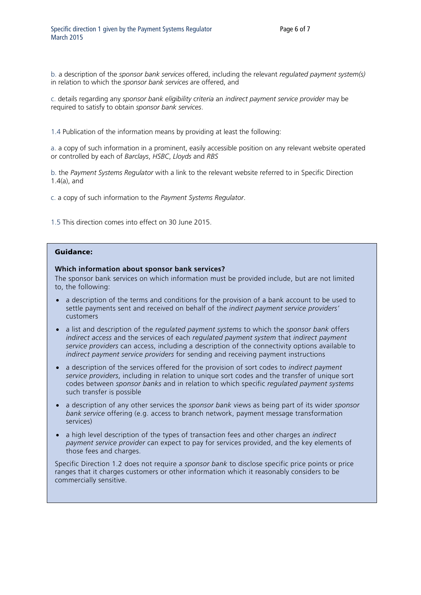b. a description of the *sponsor bank services* offered, including the relevant *regulated payment system(s)*  in relation to which the *sponsor bank services* are offered, and

c. details regarding any *sponsor bank eligibility criteria* an *indirect payment service provider* may be required to satisfy to obtain *sponsor bank services*.

1.4 Publication of the information means by providing at least the following:

a. a copy of such information in a prominent, easily accessible position on any relevant website operated or controlled by each of *Barclays*, *HSBC*, *Lloyds* and *RBS*

b. the *Payment Systems Regulator* with a link to the relevant website referred to in Specific Direction 1.4(a), and

c. a copy of such information to the *Payment Systems Regulator*.

1.5 This direction comes into effect on 30 June 2015.

#### Guidance:

#### **Which information about sponsor bank services?**

The sponsor bank services on which information must be provided include, but are not limited to, the following:

- a description of the terms and conditions for the provision of a bank account to be used to settle payments sent and received on behalf of the *indirect payment service providers'* customers
- a list and description of the *regulated payment systems* to which the *sponsor bank* offers *indirect access* and the services of each *regulated payment system* that *indirect payment service providers* can access, including a description of the connectivity options available to *indirect payment service providers* for sending and receiving payment instructions
- a description of the services offered for the provision of sort codes to *indirect payment service providers*, including in relation to unique sort codes and the transfer of unique sort codes between *sponsor banks* and in relation to which specific *regulated payment systems* such transfer is possible
- a description of any other services the *sponsor bank* views as being part of its wider *sponsor bank service* offering (e.g. access to branch network, payment message transformation services)
- a high level description of the types of transaction fees and other charges an *indirect payment service provider* can expect to pay for services provided, and the key elements of those fees and charges.

Specific Direction 1.2 does not require a *sponsor bank* to disclose specific price points or price ranges that it charges customers or other information which it reasonably considers to be commercially sensitive.